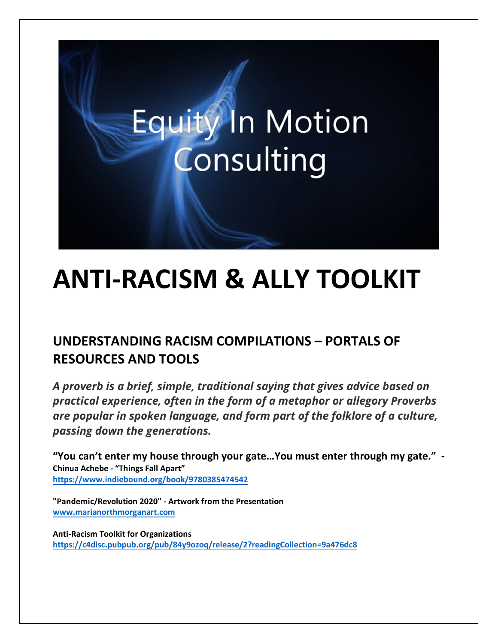# **Equity In Motion** Consulting

# **ANTI-RACISM & ALLY TOOLKIT**

# **UNDERSTANDING RACISM COMPILATIONS – PORTALS OF RESOURCES AND TOOLS**

*A proverb is a brief, simple, traditional saying that gives advice based on practical experience, often in the form of a metaphor or allegory Proverbs are popular in spoken language, and form part of the folklore of a culture, passing down the generations.*

**"You can't enter my house through your gate…You must enter through my gate." - Chinua Achebe - "Things Fall Apart" <https://www.indiebound.org/book/9780385474542>**

**"Pandemic/Revolution 2020" - Artwork from the Presentation [www.marianorthmorganart.com](http://www.marianorthmorganart.com/)**

**Anti-Racism Toolkit for Organizations <https://c4disc.pubpub.org/pub/84y9ozoq/release/2?readingCollection=9a476dc8>**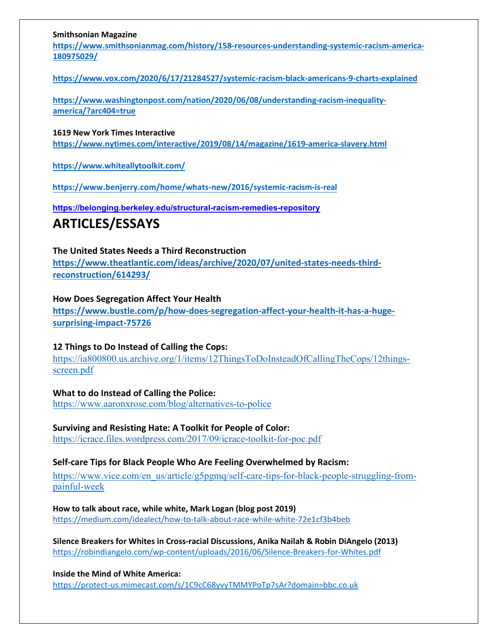#### **Smithsonian Magazine**

**[https://www.smithsonianmag.com/history/158-resources-understanding-systemic-racism-america-](https://www.smithsonianmag.com/history/158-resources-understanding-systemic-racism-america-180975029/)[180975029/](https://www.smithsonianmag.com/history/158-resources-understanding-systemic-racism-america-180975029/)**

**<https://www.vox.com/2020/6/17/21284527/systemic-racism-black-americans-9-charts-explained>**

**[https://www.washingtonpost.com/nation/2020/06/08/understanding-racism-inequality](https://www.washingtonpost.com/nation/2020/06/08/understanding-racism-inequality-america/?arc404=true)[america/?arc404=true](https://www.washingtonpost.com/nation/2020/06/08/understanding-racism-inequality-america/?arc404=true)**

**1619 New York Times Interactive**

**<https://www.nytimes.com/interactive/2019/08/14/magazine/1619-america-slavery.html>**

**<https://www.whiteallytoolkit.com/>**

**<https://www.benjerry.com/home/whats-new/2016/systemic-racism-is-real>**

**https://belonging.berkeley.edu/structural-racism-remedies-repository**

### **ARTICLES/ESSAYS**

#### **The United States Needs a Third Reconstruction**

**[https://www.theatlantic.com/ideas/archive/2020/07/united-states-needs-third](https://www.theatlantic.com/ideas/archive/2020/07/united-states-needs-third-reconstruction/614293/)[reconstruction/614293/](https://www.theatlantic.com/ideas/archive/2020/07/united-states-needs-third-reconstruction/614293/)**

#### **How Does Segregation Affect Your Health**

**[https://www.bustle.com/p/how-does-segregation-affect-your-health-it-has-a-huge](https://www.bustle.com/p/how-does-segregation-affect-your-health-it-has-a-huge-surprising-impact-75726)[surprising-impact-75726](https://www.bustle.com/p/how-does-segregation-affect-your-health-it-has-a-huge-surprising-impact-75726)**

#### **12 Things to Do Instead of Calling the Cops:**

[https://ia800800.us.archive.org/1/items/12ThingsToDoInsteadOfCallingTheCops/12things](https://ia800800.us.archive.org/1/items/12ThingsToDoInsteadOfCallingTheCops/12things-)[screen.pdf](https://ia800800.us.archive.org/1/items/12ThingsToDoInsteadOfCallingTheCops/12things-screen.pdf)

**What to do Instead of Calling the Police:** <https://www.aaronxrose.com/blog/alternatives-to-police>

#### **Surviving and Resisting Hate: A Toolkit for People of Color:**

<https://icrace.files.wordpress.com/2017/09/icrace-toolkit-for-poc.pdf>

#### **Self-care Tips for Black People Who Are Feeling Overwhelmed by Racism:**

[https://www.vice.com/en\\_us/article/g5pgmq/self-care-tips-for-black-people-struggling-from](https://www.vice.com/en_us/article/g5pgmq/self-care-tips-for-black-people-struggling-from-)[painful-week](https://www.vice.com/en_us/article/g5pgmq/self-care-tips-for-black-people-struggling-from-painful-week)

**How to talk about race, while white, Mark Logan (blog post 2019)** <https://medium.com/idealect/how-to-talk-about-race-while-white-72e1cf3b4beb>

**Silence Breakers for Whites in Cross-racial Discussions, Anika Nailah & Robin DiAngelo (2013)** <https://robindiangelo.com/wp-content/uploads/2016/06/Silence-Breakers-for-Whites.pdf>

**Inside the Mind of White America:** <https://protect-us.mimecast.com/s/1C9cC68yvyTMMYPoTp7sAr?domain=bbc.co.uk>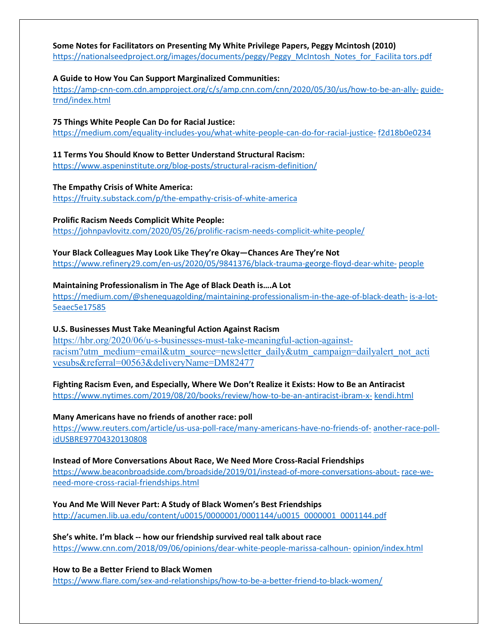#### **Some Notes for Facilitators on Presenting My White Privilege Papers, Peggy Mcintosh (2010)**

[https://nationalseedproject.org/images/documents/peggy/Peggy\\_McIntosh\\_Notes\\_for\\_Facilita tors.pdf](https://nationalseedproject.org/images/documents/peggy/Peggy_McIntosh_Notes_for_Facilita%20tors.pdf)

#### **A Guide to How You Can Support Marginalized Communities:**

[https://amp-cnn-com.cdn.ampproject.org/c/s/amp.cnn.com/cnn/2020/05/30/us/how-to-be-an-ally-](https://amp-cnn-com.cdn.ampproject.org/c/s/amp.cnn.com/cnn/2020/05/30/us/how-to-be-an-ally-guide-trnd/index.html) [guide](https://amp-cnn-com.cdn.ampproject.org/c/s/amp.cnn.com/cnn/2020/05/30/us/how-to-be-an-ally-guide-trnd/index.html)[trnd/index.html](https://amp-cnn-com.cdn.ampproject.org/c/s/amp.cnn.com/cnn/2020/05/30/us/how-to-be-an-ally-guide-trnd/index.html)

#### **75 Things White People Can Do for Racial Justice:**

[https://medium.com/equality-includes-you/what-white-people-can-do-for-racial-justice-](https://medium.com/equality-includes-you/what-white-people-can-do-for-racial-justice-f2d18b0e0234) [f2d18b0e0234](https://medium.com/equality-includes-you/what-white-people-can-do-for-racial-justice-f2d18b0e0234)

#### **11 Terms You Should Know to Better Understand Structural Racism:**

<https://www.aspeninstitute.org/blog-posts/structural-racism-definition/>

#### **The Empathy Crisis of White America:**

<https://fruity.substack.com/p/the-empathy-crisis-of-white-america>

#### **Prolific Racism Needs Complicit White People:**

<https://johnpavlovitz.com/2020/05/26/prolific-racism-needs-complicit-white-people/>

#### **Your Black Colleagues May Look Like They're Okay—Chances Are They're Not**

<https://www.refinery29.com/en-us/2020/05/9841376/black-trauma-george-floyd-dear-white-> [people](https://www.refinery29.com/en-us/2020/05/9841376/black-trauma-george-floyd-dear-white-people)

#### **Maintaining Professionalism in The Age of Black Death is….A Lot**

<https://medium.com/@shenequagolding/maintaining-professionalism-in-the-age-of-black-death-> [is-a-lot-](https://medium.com/%40shenequagolding/maintaining-professionalism-in-the-age-of-black-death-is-a-lot-5eaec5e17585)[5eaec5e17585](https://medium.com/%40shenequagolding/maintaining-professionalism-in-the-age-of-black-death-is-a-lot-5eaec5e17585)

#### **U.S. Businesses Must Take Meaningful Action Against Racism**

[https://hbr.org/2020/06/u-s-businesses-must-take-meaningful-action-against](https://hbr.org/2020/06/u-s-businesses-must-take-meaningful-action-against-)[racism?utm\\_medium=email&utm\\_source=newsletter\\_daily&utm\\_campaign=dailyalert\\_not\\_acti](https://hbr.org/2020/06/u-s-businesses-must-take-meaningful-action-against-racism?utm_medium=email&utm_source=newsletter_daily&utm_campaign=dailyalert_not_activesubs&referral=00563&deliveryName=DM82477) [vesubs&referral=00563&deliveryName=DM82477](https://hbr.org/2020/06/u-s-businesses-must-take-meaningful-action-against-racism?utm_medium=email&utm_source=newsletter_daily&utm_campaign=dailyalert_not_activesubs&referral=00563&deliveryName=DM82477)

#### **Fighting Racism Even, and Especially, Where We Don't Realize it Exists: How to Be an Antiracist**

<https://www.nytimes.com/2019/08/20/books/review/how-to-be-an-antiracist-ibram-x-> [kendi.html](https://www.nytimes.com/2019/08/20/books/review/how-to-be-an-antiracist-ibram-x-kendi.html)

#### **Many Americans have no friends of another race: poll**

<https://www.reuters.com/article/us-usa-poll-race/many-americans-have-no-friends-of-> [another-race-poll](https://www.reuters.com/article/us-usa-poll-race/many-americans-have-no-friends-of-another-race-poll-idUSBRE97704320130808)[idUSBRE97704320130808](https://www.reuters.com/article/us-usa-poll-race/many-americans-have-no-friends-of-another-race-poll-idUSBRE97704320130808)

#### **Instead of More Conversations About Race, We Need More Cross-Racial Friendships**

<https://www.beaconbroadside.com/broadside/2019/01/instead-of-more-conversations-about-> [race-we](https://www.beaconbroadside.com/broadside/2019/01/instead-of-more-conversations-about-race-we-need-more-cross-racial-friendships.html)[need-more-cross-racial-friendships.html](https://www.beaconbroadside.com/broadside/2019/01/instead-of-more-conversations-about-race-we-need-more-cross-racial-friendships.html)

#### **You And Me Will Never Part: A Study of Black Women's Best Friendships**

[http://acumen.lib.ua.edu/content/u0015/0000001/0001144/u0015\\_0000001\\_0001144.pdf](http://acumen.lib.ua.edu/content/u0015/0000001/0001144/u0015_0000001_0001144.pdf)

#### **She's white. I'm black -- how our friendship survived real talk about race**  <https://www.cnn.com/2018/09/06/opinions/dear-white-people-marissa-calhoun-> [opinion/index.html](https://www.cnn.com/2018/09/06/opinions/dear-white-people-marissa-calhoun-opinion/index.html)

#### **How to Be a Better Friend to Black Women**

<https://www.flare.com/sex-and-relationships/how-to-be-a-better-friend-to-black-women/>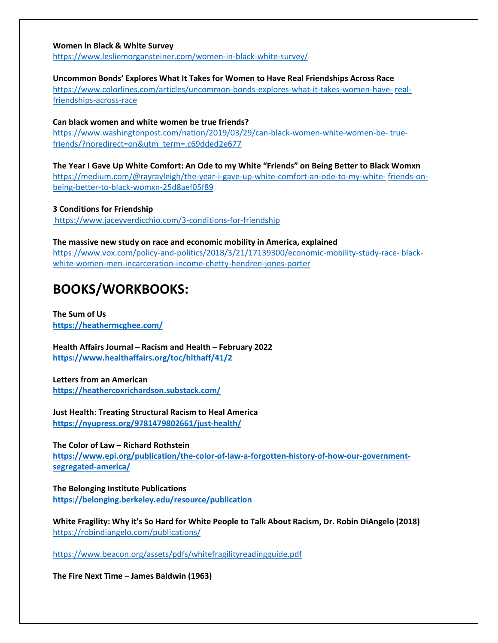#### **Women in Black & White Survey**

<https://www.lesliemorgansteiner.com/women-in-black-white-survey/>

#### **Uncommon Bonds' Explores What It Takes for Women to Have Real Friendships Across Race**

<https://www.colorlines.com/articles/uncommon-bonds-explores-what-it-takes-women-have-> [real](https://www.colorlines.com/articles/uncommon-bonds-explores-what-it-takes-women-have-real-friendships-across-race)[friendships-across-race](https://www.colorlines.com/articles/uncommon-bonds-explores-what-it-takes-women-have-real-friendships-across-race)

**Can black women and white women be true friends?**

[https://www.washingtonpost.com/nation/2019/03/29/can-black-women-white-women-be-](https://www.washingtonpost.com/nation/2019/03/29/can-black-women-white-women-be-true-friends/?noredirect=on&utm_term=.c69dded2e677) [true](https://www.washingtonpost.com/nation/2019/03/29/can-black-women-white-women-be-true-friends/?noredirect=on&utm_term=.c69dded2e677)[friends/?noredirect=on&utm\\_term=.c69dded2e677](https://www.washingtonpost.com/nation/2019/03/29/can-black-women-white-women-be-true-friends/?noredirect=on&utm_term=.c69dded2e677)

**The Year I Gave Up White Comfort: An Ode to my White "Friends" on Being Better to Black Womxn** [https://medium.com/@rayrayleigh/the-year-i-gave-up-white-comfort-an-ode-to-my-white-](https://medium.com/%40rayrayleigh/the-year-i-gave-up-white-comfort-an-ode-to-my-white-friends-on-being-better-to-black-womxn-25d8aef05f89) [friends-on](https://medium.com/%40rayrayleigh/the-year-i-gave-up-white-comfort-an-ode-to-my-white-friends-on-being-better-to-black-womxn-25d8aef05f89)[being-better-to-black-womxn-25d8aef05f89](https://medium.com/%40rayrayleigh/the-year-i-gave-up-white-comfort-an-ode-to-my-white-friends-on-being-better-to-black-womxn-25d8aef05f89)

**3 Conditions for Friendship** <https://www.jaceyverdicchio.com/3-conditions-for-friendship>

**The massive new study on race and economic mobility in America, explained** [https://www.vox.com/policy-and-politics/2018/3/21/17139300/economic-mobility-study-race-](https://www.vox.com/policy-and-politics/2018/3/21/17139300/economic-mobility-study-race-black-white-women-men-incarceration-income-chetty-hendren-jones-porter) [black](https://www.vox.com/policy-and-politics/2018/3/21/17139300/economic-mobility-study-race-black-white-women-men-incarceration-income-chetty-hendren-jones-porter)[white-women-men-incarceration-income-chetty-hendren-jones-porter](https://www.vox.com/policy-and-politics/2018/3/21/17139300/economic-mobility-study-race-black-white-women-men-incarceration-income-chetty-hendren-jones-porter)

## **BOOKS/WORKBOOKS:**

**The Sum of Us <https://heathermcghee.com/>**

**Health Affairs Journal – Racism and Health – February 2022 <https://www.healthaffairs.org/toc/hlthaff/41/2>**

**Letters from an American <https://heathercoxrichardson.substack.com/>**

**Just Health: Treating Structural Racism to Heal America <https://nyupress.org/9781479802661/just-health/>**

**The Color of Law – Richard Rothstein [https://www.epi.org/publication/the-color-of-law-a-forgotten-history-of-how-our-government](https://www.epi.org/publication/the-color-of-law-a-forgotten-history-of-how-our-government-segregated-america/)[segregated-america/](https://www.epi.org/publication/the-color-of-law-a-forgotten-history-of-how-our-government-segregated-america/)**

**The Belonging Institute Publications <https://belonging.berkeley.edu/resource/publication>**

**White Fragility: Why it's So Hard for White People to Talk About Racism, Dr. Robin DiAngelo (2018)** <https://robindiangelo.com/publications/>

<https://www.beacon.org/assets/pdfs/whitefragilityreadingguide.pdf>

**The Fire Next Time – James Baldwin (1963)**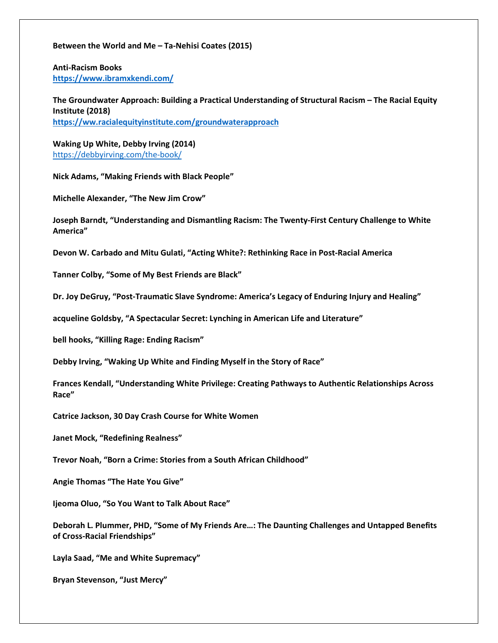#### **Between the World and Me – Ta-Nehisi Coates (2015)**

**Anti-Racism Books <https://www.ibramxkendi.com/>**

**The Groundwater Approach: Building a Practical Understanding of Structural Racism – The Racial Equity Institute (2018) <https://ww.racialequityinstitute.com/groundwaterapproach>**

**Waking Up White, Debby Irving (2014)** <https://debbyirving.com/the-book/>

**Nick Adams, "Making Friends with Black People"**

**Michelle Alexander, "The New Jim Crow"**

**Joseph Barndt, "Understanding and Dismantling Racism: The Twenty-First Century Challenge to White America"**

**Devon W. Carbado and Mitu Gulati, "Acting White?: Rethinking Race in Post-Racial America**

**Tanner Colby, "Some of My Best Friends are Black"**

**Dr. Joy DeGruy, "Post-Traumatic Slave Syndrome: America's Legacy of Enduring Injury and Healing"**

**acqueline Goldsby, "A Spectacular Secret: Lynching in American Life and Literature"**

**bell hooks, "Killing Rage: Ending Racism"**

**Debby Irving, "Waking Up White and Finding Myself in the Story of Race"**

**Frances Kendall, "Understanding White Privilege: Creating Pathways to Authentic Relationships Across Race"**

**Catrice Jackson, 30 Day Crash Course for White Women**

**Janet Mock, "Redefining Realness"**

**Trevor Noah, "Born a Crime: Stories from a South African Childhood"**

**Angie Thomas "The Hate You Give"**

**Ijeoma Oluo, "So You Want to Talk About Race"**

**Deborah L. Plummer, PHD, "Some of My Friends Are…: The Daunting Challenges and Untapped Benefits of Cross-Racial Friendships"**

**Layla Saad, "Me and White Supremacy"**

**Bryan Stevenson, "Just Mercy"**